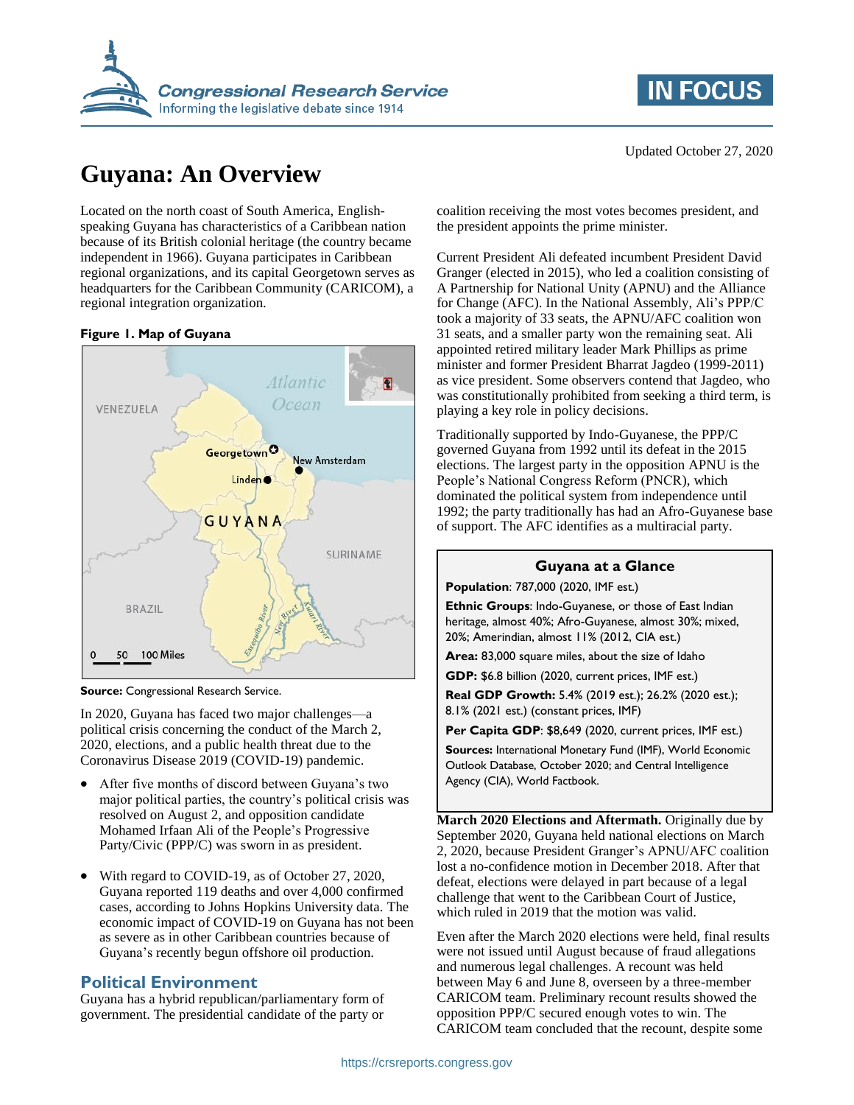

# **Guyana: An Overview**

Located on the north coast of South America, Englishspeaking Guyana has characteristics of a Caribbean nation because of its British colonial heritage (the country became independent in 1966). Guyana participates in Caribbean regional organizations, and its capital Georgetown serves as headquarters for the Caribbean Community (CARICOM), a regional integration organization.

#### **Figure 1. Map of Guyana**



**Source:** Congressional Research Service.

In 2020, Guyana has faced two major challenges—a political crisis concerning the conduct of the March 2, 2020, elections, and a public health threat due to the Coronavirus Disease 2019 (COVID-19) pandemic.

- After five months of discord between Guyana's two major political parties, the country's political crisis was resolved on August 2, and opposition candidate Mohamed Irfaan Ali of the People's Progressive Party/Civic (PPP/C) was sworn in as president.
- With regard to COVID-19, as of October 27, 2020, Guyana reported 119 deaths and over 4,000 confirmed cases, according to Johns Hopkins University data. The economic impact of COVID-19 on Guyana has not been as severe as in other Caribbean countries because of Guyana's recently begun offshore oil production.

## **Political Environment**

Guyana has a hybrid republican/parliamentary form of government. The presidential candidate of the party or



coalition receiving the most votes becomes president, and the president appoints the prime minister.

Current President Ali defeated incumbent President David Granger (elected in 2015), who led a coalition consisting of A Partnership for National Unity (APNU) and the Alliance for Change (AFC). In the National Assembly, Ali's PPP/C took a majority of 33 seats, the APNU/AFC coalition won 31 seats, and a smaller party won the remaining seat. Ali appointed retired military leader Mark Phillips as prime minister and former President Bharrat Jagdeo (1999-2011) as vice president. Some observers contend that Jagdeo, who was constitutionally prohibited from seeking a third term, is playing a key role in policy decisions.

Traditionally supported by Indo-Guyanese, the PPP/C governed Guyana from 1992 until its defeat in the 2015 elections. The largest party in the opposition APNU is the People's National Congress Reform (PNCR), which dominated the political system from independence until 1992; the party traditionally has had an Afro-Guyanese base of support. The AFC identifies as a multiracial party.

#### **Guyana at a Glance**

**Population**: 787,000 (2020, IMF est.)

**Ethnic Groups**: Indo-Guyanese, or those of East Indian heritage, almost 40%; Afro-Guyanese, almost 30%; mixed, 20%; Amerindian, almost 11% (2012, CIA est.)

**Area:** 83,000 square miles, about the size of Idaho

**GDP:** \$6.8 billion (2020, current prices, IMF est.)

**Real GDP Growth:** 5.4% (2019 est.); 26.2% (2020 est.); 8.1% (2021 est.) (constant prices, IMF)

**Per Capita GDP**: \$8,649 (2020, current prices, IMF est.)

**Sources:** International Monetary Fund (IMF), World Economic Outlook Database, October 2020; and Central Intelligence Agency (CIA), World Factbook.

**March 2020 Elections and Aftermath.** Originally due by September 2020, Guyana held national elections on March 2, 2020, because President Granger's APNU/AFC coalition lost a no-confidence motion in December 2018. After that defeat, elections were delayed in part because of a legal challenge that went to the Caribbean Court of Justice, which ruled in 2019 that the motion was valid.

Even after the March 2020 elections were held, final results were not issued until August because of fraud allegations and numerous legal challenges. A recount was held between May 6 and June 8, overseen by a three-member CARICOM team. Preliminary recount results showed the opposition PPP/C secured enough votes to win. The CARICOM team concluded that the recount, despite some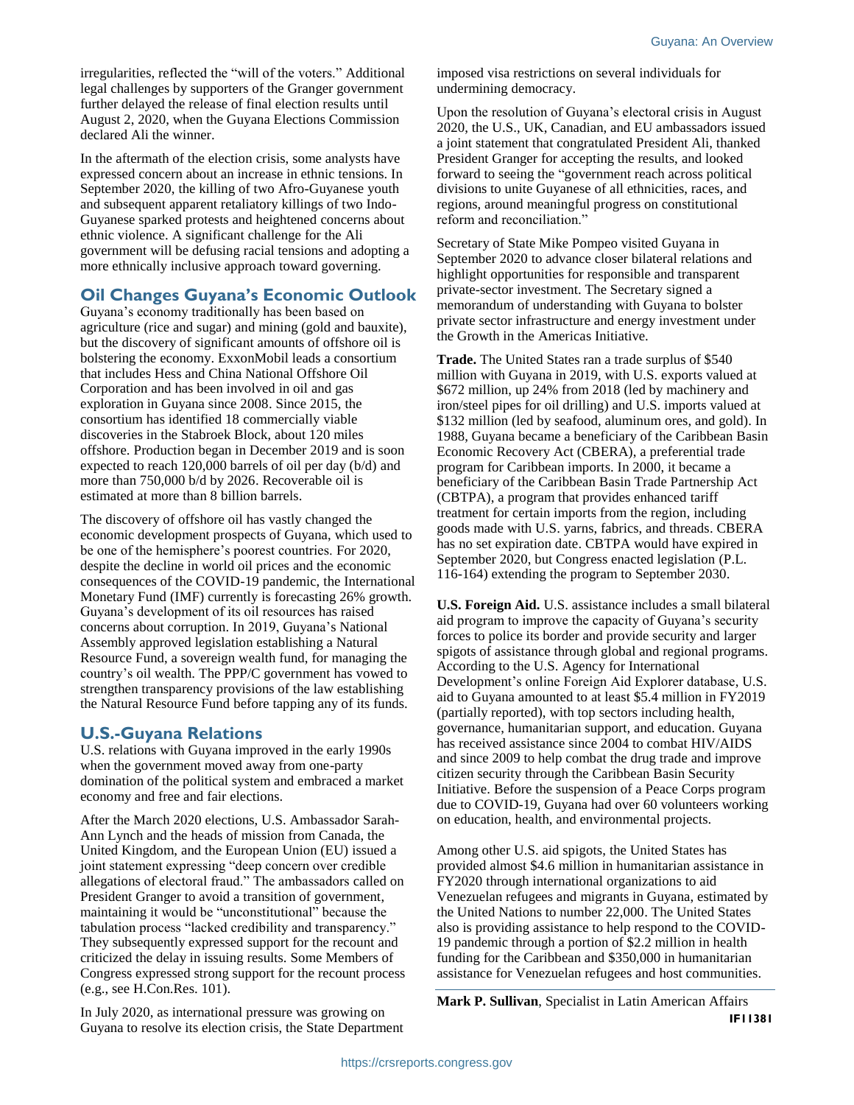irregularities, reflected the "will of the voters." Additional legal challenges by supporters of the Granger government further delayed the release of final election results until August 2, 2020, when the Guyana Elections Commission declared Ali the winner.

In the aftermath of the election crisis, some analysts have expressed concern about an increase in ethnic tensions. In September 2020, the killing of two Afro-Guyanese youth and subsequent apparent retaliatory killings of two Indo-Guyanese sparked protests and heightened concerns about ethnic violence. A significant challenge for the Ali government will be defusing racial tensions and adopting a more ethnically inclusive approach toward governing.

# **Oil Changes Guyana's Economic Outlook**

Guyana's economy traditionally has been based on agriculture (rice and sugar) and mining (gold and bauxite), but the discovery of significant amounts of offshore oil is bolstering the economy. ExxonMobil leads a consortium that includes Hess and China National Offshore Oil Corporation and has been involved in oil and gas exploration in Guyana since 2008. Since 2015, the consortium has identified 18 commercially viable discoveries in the Stabroek Block, about 120 miles offshore. Production began in December 2019 and is soon expected to reach 120,000 barrels of oil per day (b/d) and more than 750,000 b/d by 2026. Recoverable oil is estimated at more than 8 billion barrels.

The discovery of offshore oil has vastly changed the economic development prospects of Guyana, which used to be one of the hemisphere's poorest countries. For 2020, despite the decline in world oil prices and the economic consequences of the COVID-19 pandemic, the International Monetary Fund (IMF) currently is forecasting 26% growth. Guyana's development of its oil resources has raised concerns about corruption. In 2019, Guyana's National Assembly approved legislation establishing a Natural Resource Fund, a sovereign wealth fund, for managing the country's oil wealth. The PPP/C government has vowed to strengthen transparency provisions of the law establishing the Natural Resource Fund before tapping any of its funds.

### **U.S.-Guyana Relations**

U.S. relations with Guyana improved in the early 1990s when the government moved away from one-party domination of the political system and embraced a market economy and free and fair elections.

After the March 2020 elections, U.S. Ambassador Sarah-Ann Lynch and the heads of mission from Canada, the United Kingdom, and the European Union (EU) issued a joint statement expressing "deep concern over credible allegations of electoral fraud." The ambassadors called on President Granger to avoid a transition of government, maintaining it would be "unconstitutional" because the tabulation process "lacked credibility and transparency." They subsequently expressed support for the recount and criticized the delay in issuing results. Some Members of Congress expressed strong support for the recount process (e.g., see H.Con.Res. 101).

In July 2020, as international pressure was growing on Guyana to resolve its election crisis, the State Department imposed visa restrictions on several individuals for undermining democracy.

Upon the resolution of Guyana's electoral crisis in August 2020, the U.S., UK, Canadian, and EU ambassadors issued a joint statement that congratulated President Ali, thanked President Granger for accepting the results, and looked forward to seeing the "government reach across political divisions to unite Guyanese of all ethnicities, races, and regions, around meaningful progress on constitutional reform and reconciliation."

Secretary of State Mike Pompeo visited Guyana in September 2020 to advance closer bilateral relations and highlight opportunities for responsible and transparent private-sector investment. The Secretary signed a memorandum of understanding with Guyana to bolster private sector infrastructure and energy investment under the Growth in the Americas Initiative.

**Trade.** The United States ran a trade surplus of \$540 million with Guyana in 2019, with U.S. exports valued at \$672 million, up 24% from 2018 (led by machinery and iron/steel pipes for oil drilling) and U.S. imports valued at \$132 million (led by seafood, aluminum ores, and gold). In 1988, Guyana became a beneficiary of the Caribbean Basin Economic Recovery Act (CBERA), a preferential trade program for Caribbean imports. In 2000, it became a beneficiary of the Caribbean Basin Trade Partnership Act (CBTPA), a program that provides enhanced tariff treatment for certain imports from the region, including goods made with U.S. yarns, fabrics, and threads. CBERA has no set expiration date. CBTPA would have expired in September 2020, but Congress enacted legislation (P.L. 116-164) extending the program to September 2030.

**U.S. Foreign Aid.** U.S. assistance includes a small bilateral aid program to improve the capacity of Guyana's security forces to police its border and provide security and larger spigots of assistance through global and regional programs. According to the U.S. Agency for International Development's online Foreign Aid Explorer database, U.S. aid to Guyana amounted to at least \$5.4 million in FY2019 (partially reported), with top sectors including health, governance, humanitarian support, and education. Guyana has received assistance since 2004 to combat HIV/AIDS and since 2009 to help combat the drug trade and improve citizen security through the Caribbean Basin Security Initiative. Before the suspension of a Peace Corps program due to COVID-19, Guyana had over 60 volunteers working on education, health, and environmental projects.

Among other U.S. aid spigots, the United States has provided almost \$4.6 million in humanitarian assistance in FY2020 through international organizations to aid Venezuelan refugees and migrants in Guyana, estimated by the United Nations to number 22,000. The United States also is providing assistance to help respond to the COVID-19 pandemic through a portion of \$2.2 million in health funding for the Caribbean and \$350,000 in humanitarian assistance for Venezuelan refugees and host communities.

**Mark P. Sullivan**, Specialist in Latin American Affairs **IF11381**